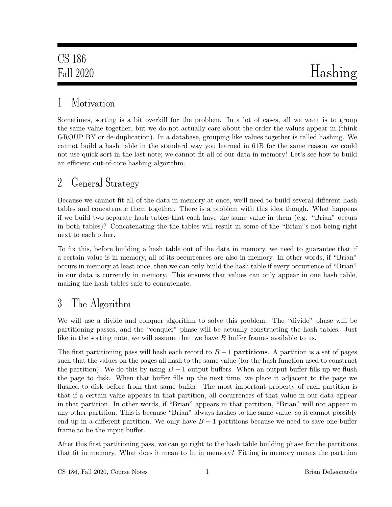# 1 Motivation

Sometimes, sorting is a bit overkill for the problem. In a lot of cases, all we want is to group the same value together, but we do not actually care about the order the values appear in (think GROUP BY or de-duplication). In a database, grouping like values together is called hashing. We cannot build a hash table in the standard way you learned in 61B for the same reason we could not use quick sort in the last note; we cannot fit all of our data in memory! Let's see how to build an efficient out-of-core hashing algorithm.

## 2 General Strategy

Because we cannot fit all of the data in memory at once, we'll need to build several different hash tables and concatenate them together. There is a problem with this idea though. What happens if we build two separate hash tables that each have the same value in them (e.g. "Brian" occurs in both tables)? Concatenating the the tables will result in some of the "Brian"s not being right next to each other.

To fix this, before building a hash table out of the data in memory, we need to guarantee that if a certain value is in memory, all of its occurrences are also in memory. In other words, if "Brian" occurs in memory at least once, then we can only build the hash table if every occurrence of "Brian" in our data is currently in memory. This ensures that values can only appear in one hash table, making the hash tables safe to concatenate.

# 3 The Algorithm

We will use a divide and conquer algorithm to solve this problem. The "divide" phase will be partitioning passes, and the "conquer" phase will be actually constructing the hash tables. Just like in the sorting note, we will assume that we have B buffer frames available to us.

The first partitioning pass will hash each record to  $B-1$  **partitions**. A partition is a set of pages such that the values on the pages all hash to the same value (for the hash function used to construct the partition). We do this by using  $B-1$  output buffers. When an output buffer fills up we flush the page to disk. When that buffer fills up the next time, we place it adjacent to the page we flushed to disk before from that same buffer. The most important property of each partition is that if a certain value appears in that partition, all occurrences of that value in our data appear in that partition. In other words, if "Brian" appears in that partition, "Brian" will not appear in any other partition. This is because "Brian" always hashes to the same value, so it cannot possibly end up in a different partition. We only have  $B-1$  partitions because we need to save one buffer frame to be the input buffer.

After this first partitioning pass, we can go right to the hash table building phase for the partitions that fit in memory. What does it mean to fit in memory? Fitting in memory means the partition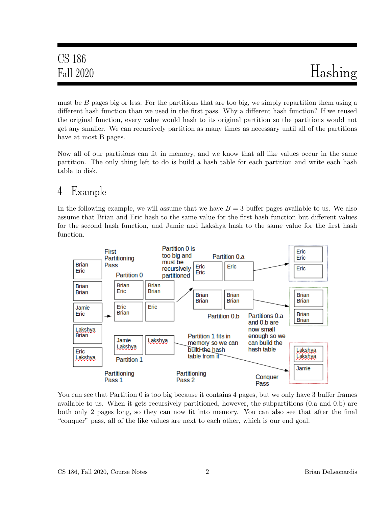must be  $B$  pages big or less. For the partitions that are too big, we simply repartition them using a different hash function than we used in the first pass. Why a different hash function? If we reused the original function, every value would hash to its original partition so the partitions would not get any smaller. We can recursively partition as many times as necessary until all of the partitions have at most B pages.

Now all of our partitions can fit in memory, and we know that all like values occur in the same partition. The only thing left to do is build a hash table for each partition and write each hash table to disk.

## 4 Example

In the following example, we will assume that we have  $B = 3$  buffer pages available to us. We also assume that Brian and Eric hash to the same value for the first hash function but different values for the second hash function, and Jamie and Lakshya hash to the same value for the first hash function.



You can see that Partition 0 is too big because it contains 4 pages, but we only have 3 buffer frames available to us. When it gets recursively partitioned, however, the subpartitions (0.a and 0.b) are both only 2 pages long, so they can now fit into memory. You can also see that after the final "conquer" pass, all of the like values are next to each other, which is our end goal.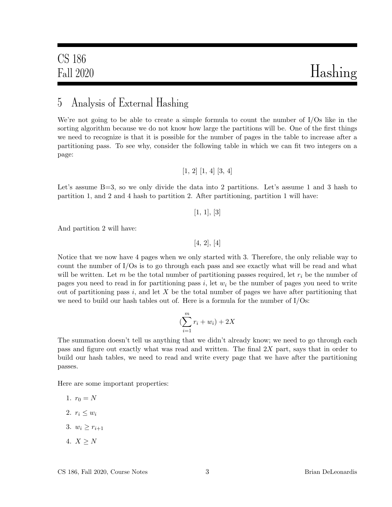#### 5 Analysis of External Hashing

We're not going to be able to create a simple formula to count the number of I/Os like in the sorting algorithm because we do not know how large the partitions will be. One of the first things we need to recognize is that it is possible for the number of pages in the table to increase after a partitioning pass. To see why, consider the following table in which we can fit two integers on a page:

$$
[1,\,2]\,\,[1,\,4]\,\,[3,\,4]
$$

Let's assume B=3, so we only divide the data into 2 partitions. Let's assume 1 and 3 hash to partition 1, and 2 and 4 hash to partition 2. After partitioning, partition 1 will have:

 $[1, 1], [3]$ 

And partition 2 will have:

[4, 2], [4]

Notice that we now have 4 pages when we only started with 3. Therefore, the only reliable way to count the number of I/Os is to go through each pass and see exactly what will be read and what will be written. Let m be the total number of partitioning passes required, let  $r_i$  be the number of pages you need to read in for partitioning pass i, let  $w_i$  be the number of pages you need to write out of partitioning pass  $i$ , and let  $X$  be the total number of pages we have after partitioning that we need to build our hash tables out of. Here is a formula for the number of I/Os:

$$
\left(\sum_{i=1}^{m} r_i + w_i\right) + 2X
$$

The summation doesn't tell us anything that we didn't already know; we need to go through each pass and figure out exactly what was read and written. The final  $2X$  part, says that in order to build our hash tables, we need to read and write every page that we have after the partitioning passes.

Here are some important properties:

- 1.  $r_0 = N$
- 2.  $r_i \leq w_i$
- 3.  $w_i > r_{i+1}$
- 4.  $X \geq N$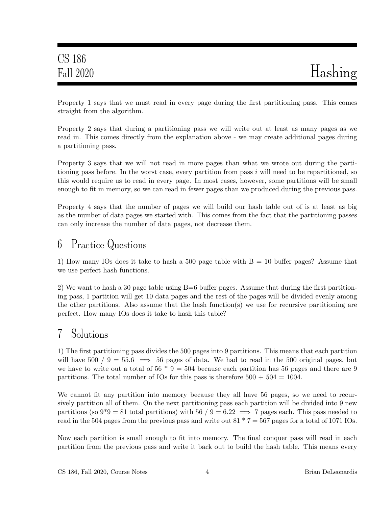Property 1 says that we must read in every page during the first partitioning pass. This comes straight from the algorithm.

Property 2 says that during a partitioning pass we will write out at least as many pages as we read in. This comes directly from the explanation above - we may create additional pages during a partitioning pass.

Property 3 says that we will not read in more pages than what we wrote out during the partitioning pass before. In the worst case, every partition from pass  $i$  will need to be repartitioned, so this would require us to read in every page. In most cases, however, some partitions will be small enough to fit in memory, so we can read in fewer pages than we produced during the previous pass.

Property 4 says that the number of pages we will build our hash table out of is at least as big as the number of data pages we started with. This comes from the fact that the partitioning passes can only increase the number of data pages, not decrease them.

## 6 Practice Questions

1) How many IOs does it take to hash a 500 page table with  $B = 10$  buffer pages? Assume that we use perfect hash functions.

2) We want to hash a 30 page table using  $B=6$  buffer pages. Assume that during the first partitioning pass, 1 partition will get 10 data pages and the rest of the pages will be divided evenly among the other partitions. Also assume that the hash function(s) we use for recursive partitioning are perfect. How many IOs does it take to hash this table?

## 7 Solutions

1) The first partitioning pass divides the 500 pages into 9 partitions. This means that each partition will have 500 / 9 = 55.6  $\implies$  56 pages of data. We had to read in the 500 original pages, but we have to write out a total of  $56 * 9 = 504$  because each partition has 56 pages and there are 9 partitions. The total number of IOs for this pass is therefore  $500 + 504 = 1004$ .

We cannot fit any partition into memory because they all have 56 pages, so we need to recursively partition all of them. On the next partitioning pass each partition will be divided into 9 new partitions (so  $9^*9 = 81$  total partitions) with 56 / 9 = 6.22  $\implies$  7 pages each. This pass needed to read in the 504 pages from the previous pass and write out  $81 * 7 = 567$  pages for a total of 1071 IOs.

Now each partition is small enough to fit into memory. The final conquer pass will read in each partition from the previous pass and write it back out to build the hash table. This means every